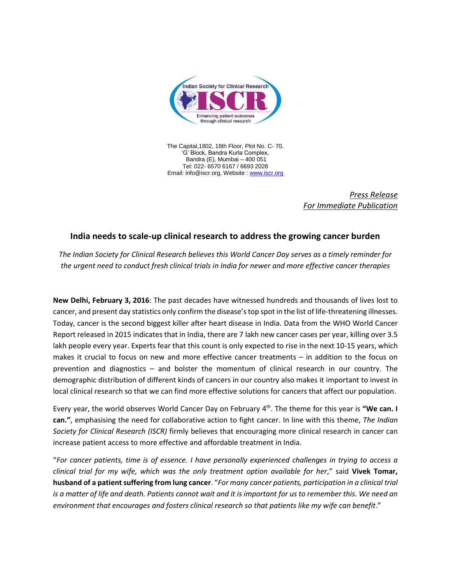

The Capital,1802, 18th Floor, Plot No. C- 70, 'G' Block, Bandra Kurla Complex, Bandra (E), Mumbai – 400 051 Tel: 022- 6570 6167 / 6693 2028 Email: info@iscr.org, Website : [www.iscr.org](http://www.iscr.org/)

> *Press Release For Immediate Publication*

## **India needs to scale-up clinical research to address the growing cancer burden**

*The Indian Society for Clinical Research believes this World Cancer Day serves as a timely reminder for the urgent need to conduct fresh clinical trials in India for newer and more effective cancer therapies*

**New Delhi, February 3, 2016**: The past decades have witnessed hundreds and thousands of lives lost to cancer, and present day statistics only confirm the disease's top spot in the list of life-threatening illnesses. Today, cancer is the second biggest killer after heart disease in India. Data from the WHO World Cancer Report released in 2015 indicates that in India, there are 7 lakh new cancer cases per year, killing over 3.5 lakh people every year. Experts fear that this count is only expected to rise in the next 10-15 years, which makes it crucial to focus on new and more effective cancer treatments – in addition to the focus on prevention and diagnostics – and bolster the momentum of clinical research in our country. The demographic distribution of different kinds of cancers in our country also makes it important to invest in local clinical research so that we can find more effective solutions for cancers that affect our population.

Every year, the world observes World Cancer Day on February 4<sup>th</sup>. The theme for this year is "We can. I **can."**, emphasising the need for collaborative action to fight cancer. In line with this theme, *The Indian Society for Clinical Research (ISCR)* firmly believes that encouraging more clinical research in cancer can increase patient access to more effective and affordable treatment in India.

"*For cancer patients, time is of essence. I have personally experienced challenges in trying to access a clinical trial for my wife, which was the only treatment option available for her*," said **Vivek Tomar, husband of a patient suffering from lung cancer**. "*For many cancer patients, participation in a clinical trial is a matter of life and death. Patients cannot wait and it is important for us to remember this. We need an environment that encourages and fosters clinical research so that patients like my wife can benefit*."